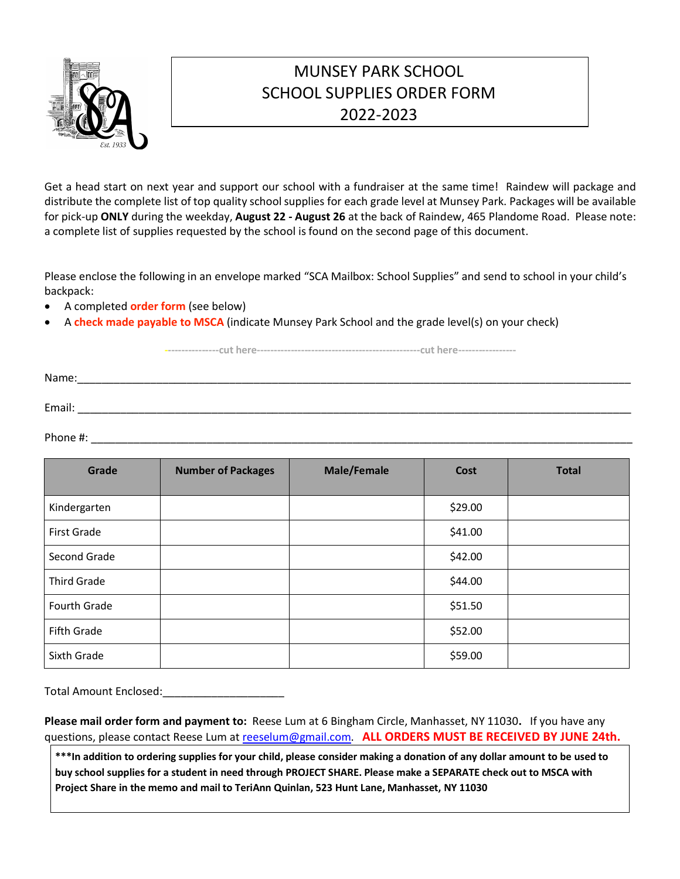

## MUNSEY PARK SCHOOL SCHOOL SUPPLIES ORDER FORM 2022-2023

Get a head start on next year and support our school with a fundraiser at the same time! Raindew will package and distribute the complete list of top quality school supplies for each grade level at Munsey Park. Packages will be available for pick-up **ONLY** during the weekday, **August 22 - August 26** at the back of Raindew, 465 Plandome Road. Please note: a complete list of supplies requested by the school is found on the second page of this document.

Please enclose the following in an envelope marked "SCA Mailbox: School Supplies" and send to school in your child's backpack:

- A completed **order form** (see below)
- A **check made payable to MSCA** (indicate Munsey Park School and the grade level(s) on your check)

**----------------cut here------------------------------------------------cut here-----------------**

Name:\_\_\_\_\_\_\_\_\_\_\_\_\_\_\_\_\_\_\_\_\_\_\_\_\_\_\_\_\_\_\_\_\_\_\_\_\_\_\_\_\_\_\_\_\_\_\_\_\_\_\_\_\_\_\_\_\_\_\_\_\_\_\_\_\_\_\_\_\_\_\_\_\_\_\_\_\_\_\_\_\_\_\_\_\_\_\_\_\_\_\_ Email: \_\_\_\_\_\_\_\_\_\_\_\_\_\_\_\_\_\_\_\_\_\_\_\_\_\_\_\_\_\_\_\_\_\_\_\_\_\_\_\_\_\_\_\_\_\_\_\_\_\_\_\_\_\_\_\_\_\_\_\_\_\_\_\_\_\_\_\_\_\_\_\_\_\_\_\_\_\_\_\_\_\_\_\_\_\_\_\_\_\_\_

Phone #: \_\_\_\_\_\_\_\_\_\_\_\_\_\_\_\_\_\_\_\_\_\_\_\_\_\_\_\_\_\_\_\_\_\_\_\_\_\_\_\_\_\_\_\_\_\_\_\_\_\_\_\_\_\_\_\_\_\_\_\_\_\_\_\_\_\_\_\_\_\_\_\_\_\_\_\_\_\_\_\_\_\_\_\_\_\_\_\_\_

| Grade              | <b>Number of Packages</b> | <b>Male/Female</b> | Cost    | <b>Total</b> |
|--------------------|---------------------------|--------------------|---------|--------------|
| Kindergarten       |                           |                    | \$29.00 |              |
| First Grade        |                           |                    | \$41.00 |              |
| Second Grade       |                           |                    | \$42.00 |              |
| <b>Third Grade</b> |                           |                    | \$44.00 |              |
| Fourth Grade       |                           |                    | \$51.50 |              |
| Fifth Grade        |                           |                    | \$52.00 |              |
| Sixth Grade        |                           |                    | \$59.00 |              |

Total Amount Enclosed:\_\_\_\_\_\_\_\_\_\_\_\_\_\_\_\_\_\_\_\_

**Please mail order form and payment to:** Reese Lum at 6 Bingham Circle, Manhasset, NY 11030**.** If you have any questions, please contact Reese Lum at reeselum@gmail.com. **ALL ORDERS MUST BE RECEIVED BY JUNE 24th.**

\*\*\* In addition to ordering supplies for your child, please consider making a donation of any dollar amount to be used to buy school supplies for a student in need through PROJECT SHARE. Please make a SEPARATE check out to MSCA with **Project Share in the memo and mail to TeriAnn Quinlan, 523 Hunt Lane, Manhasset, NY 11030**